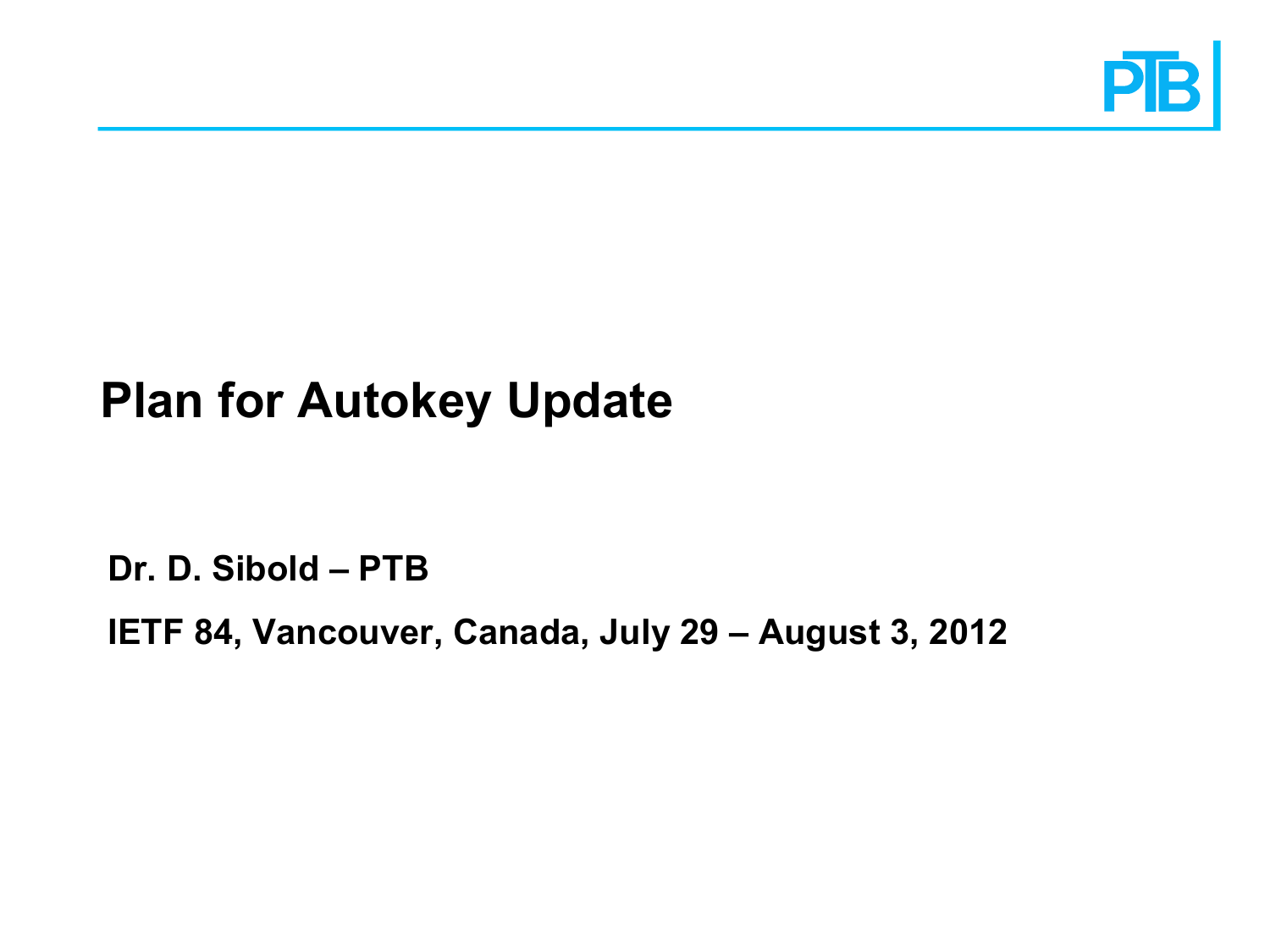

# **Plan for Autokey Update**

**Dr. D. Sibold – PTB** 

**IETF 84, Vancouver, Canada, July 29 – August 3, 2012**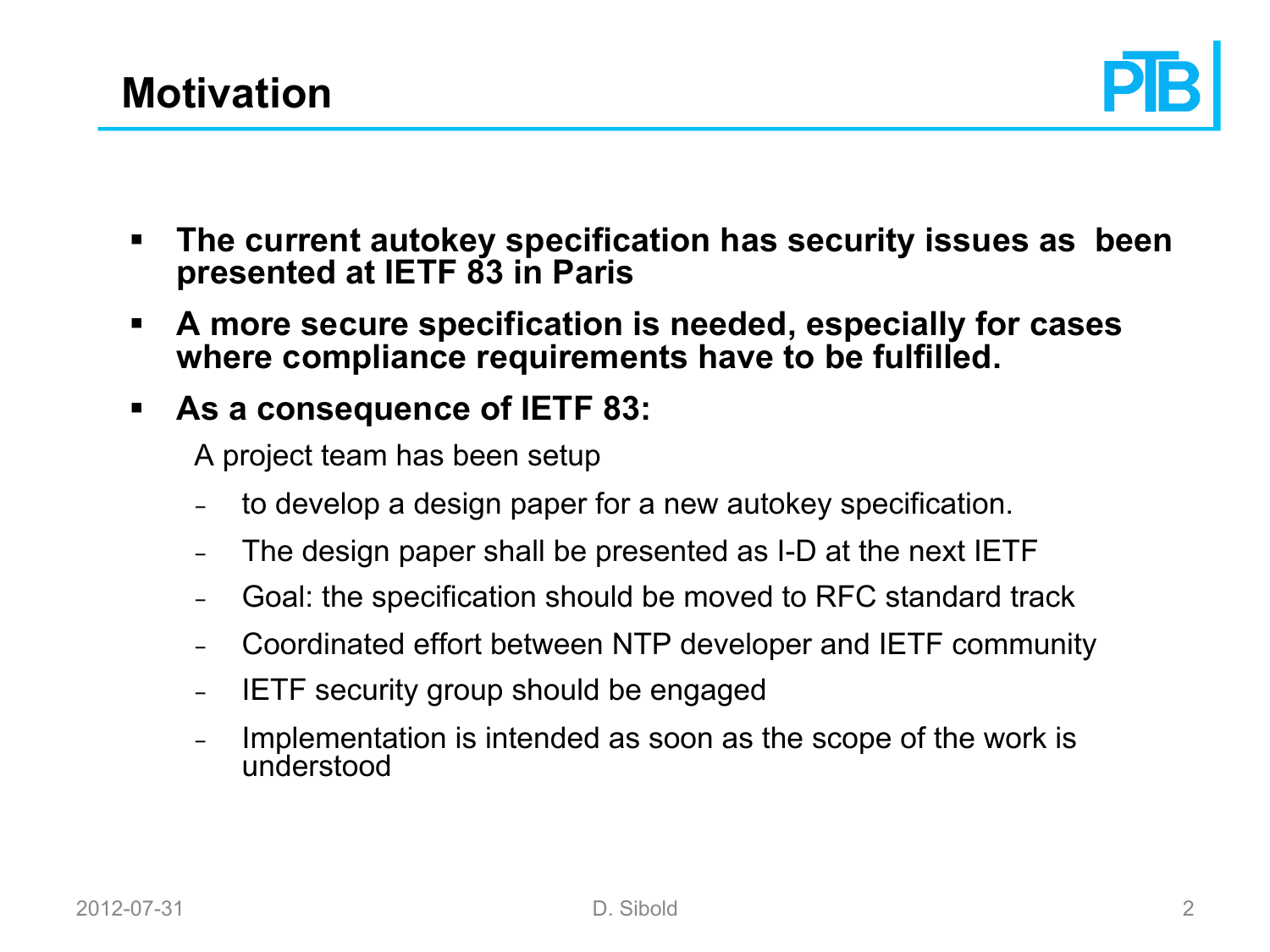



- § **The current autokey specification has security issues as been presented at IETF 83 in Paris**
- § **A more secure specification is needed, especially for cases where compliance requirements have to be fulfilled.**

### § **As a consequence of IETF 83:**

A project team has been setup

- to develop a design paper for a new autokey specification.
- The design paper shall be presented as I-D at the next IETF
- Goal: the specification should be moved to RFC standard track
- Coordinated effort between NTP developer and IETF community
- IETF security group should be engaged
- Implementation is intended as soon as the scope of the work is understood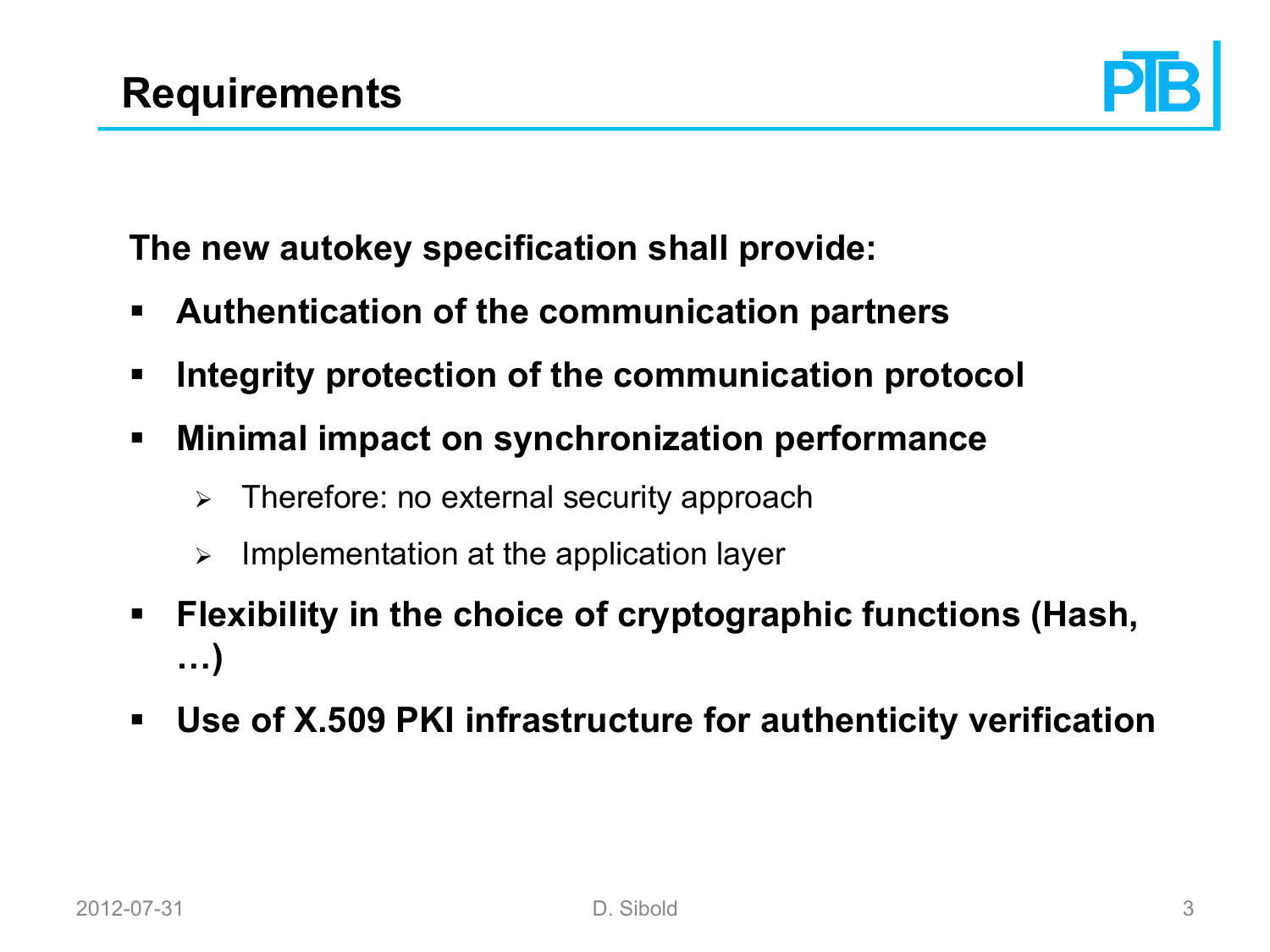

**The new autokey specification shall provide:** 

- § **Authentication of the communication partners**
- § **Integrity protection of the communication protocol**
- § **Minimal impact on synchronization performance** 
	- $\triangleright$  Therefore: no external security approach
	- $\triangleright$  Implementation at the application layer
- § **Flexibility in the choice of cryptographic functions (Hash, …)**
- § **Use of X.509 PKI infrastructure for authenticity verification**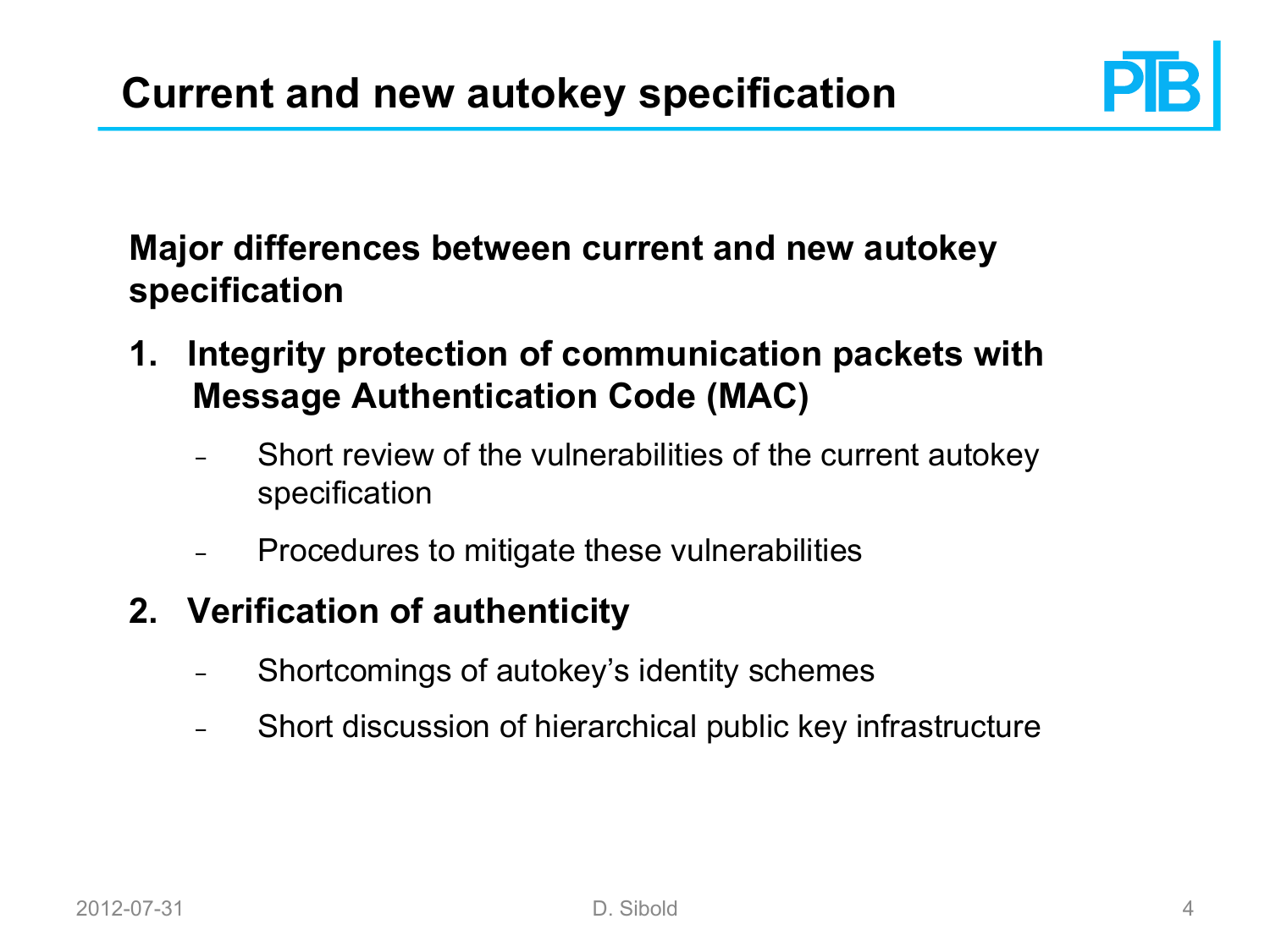

## **Major differences between current and new autokey specification**

- **1. Integrity protection of communication packets with Message Authentication Code (MAC)** 
	- Short review of the vulnerabilities of the current autokey specification
	- Procedures to mitigate these vulnerabilities

### **2. Verification of authenticity**

- Shortcomings of autokey's identity schemes
- Short discussion of hierarchical public key infrastructure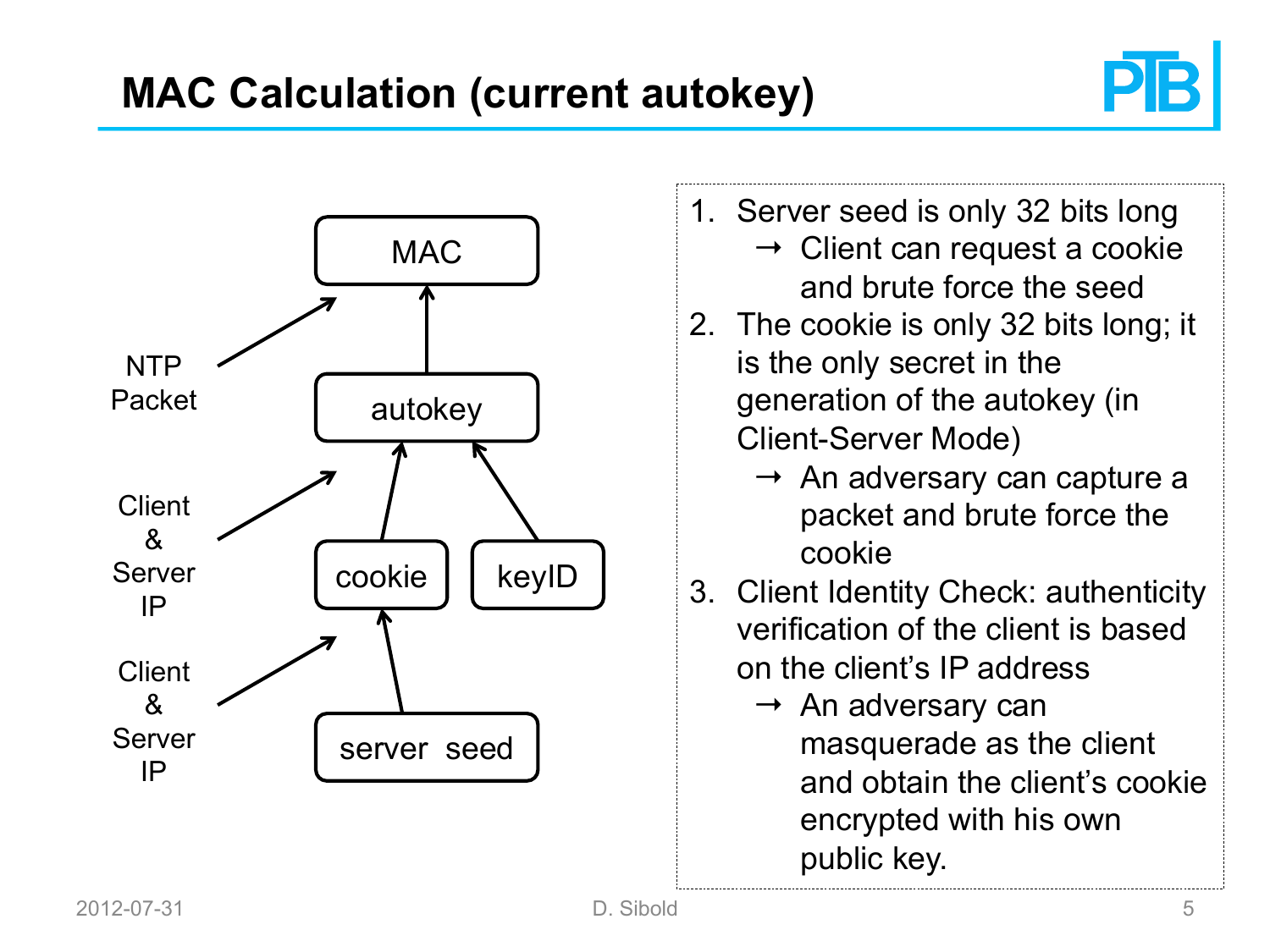



- 1. Server seed is only 32 bits long
	- $\rightarrow$  Client can request a cookie and brute force the seed
- 2. The cookie is only 32 bits long; it is the only secret in the generation of the autokey (in Client-Server Mode)
	- $\rightarrow$  An adversary can capture a packet and brute force the cookie
- 3. Client Identity Check: authenticity verification of the client is based on the client's IP address
	- $\rightarrow$  An adversary can masquerade as the client and obtain the client's cookie encrypted with his own public key.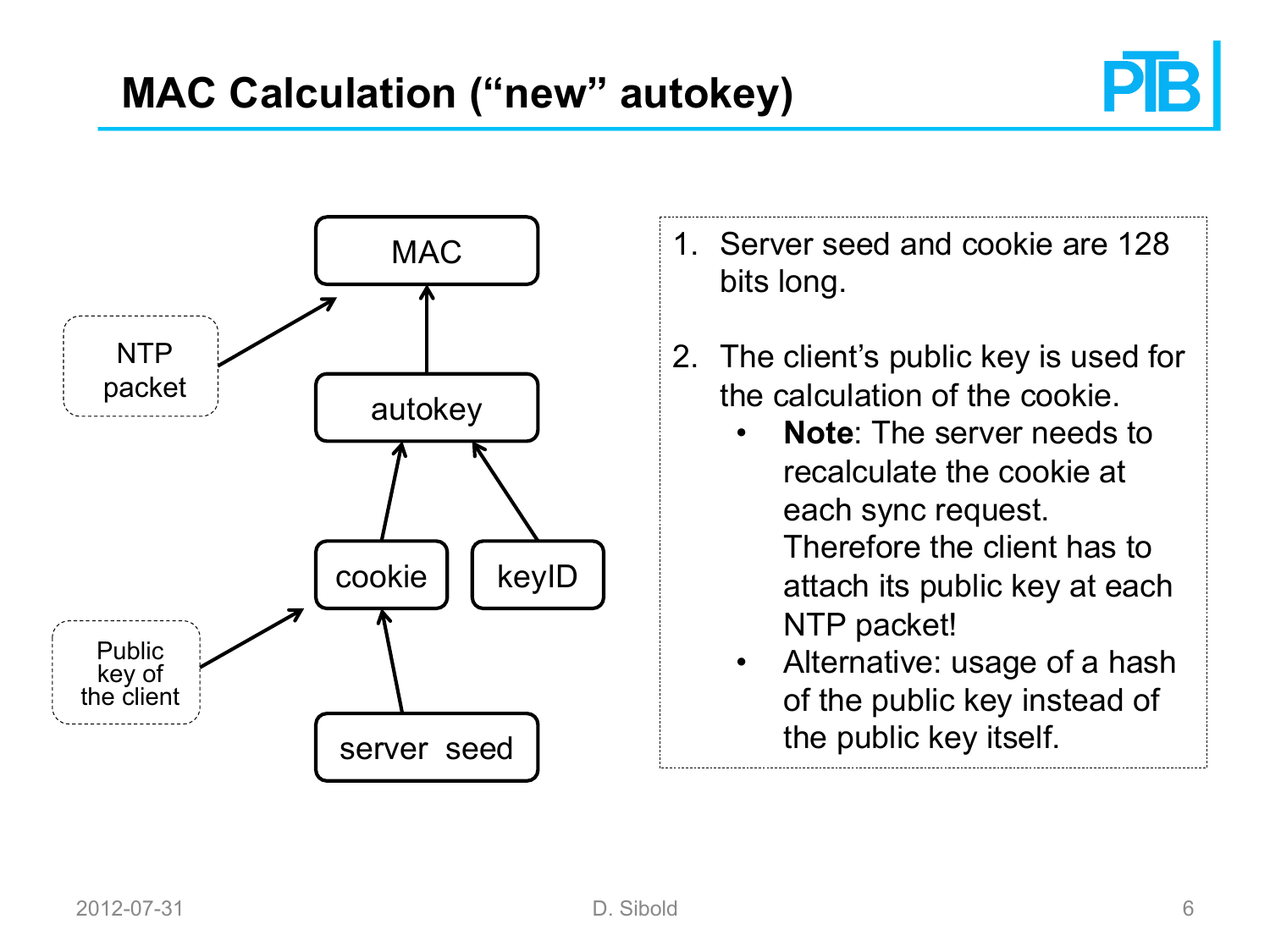



- 1. Server seed and cookie are 128 bits long.
- 2. The client's public key is used for the calculation of the cookie.
	- **Note:** The server needs to recalculate the cookie at each sync request. Therefore the client has to attach its public key at each NTP packet!
	- Alternative: usage of a hash of the public key instead of the public key itself.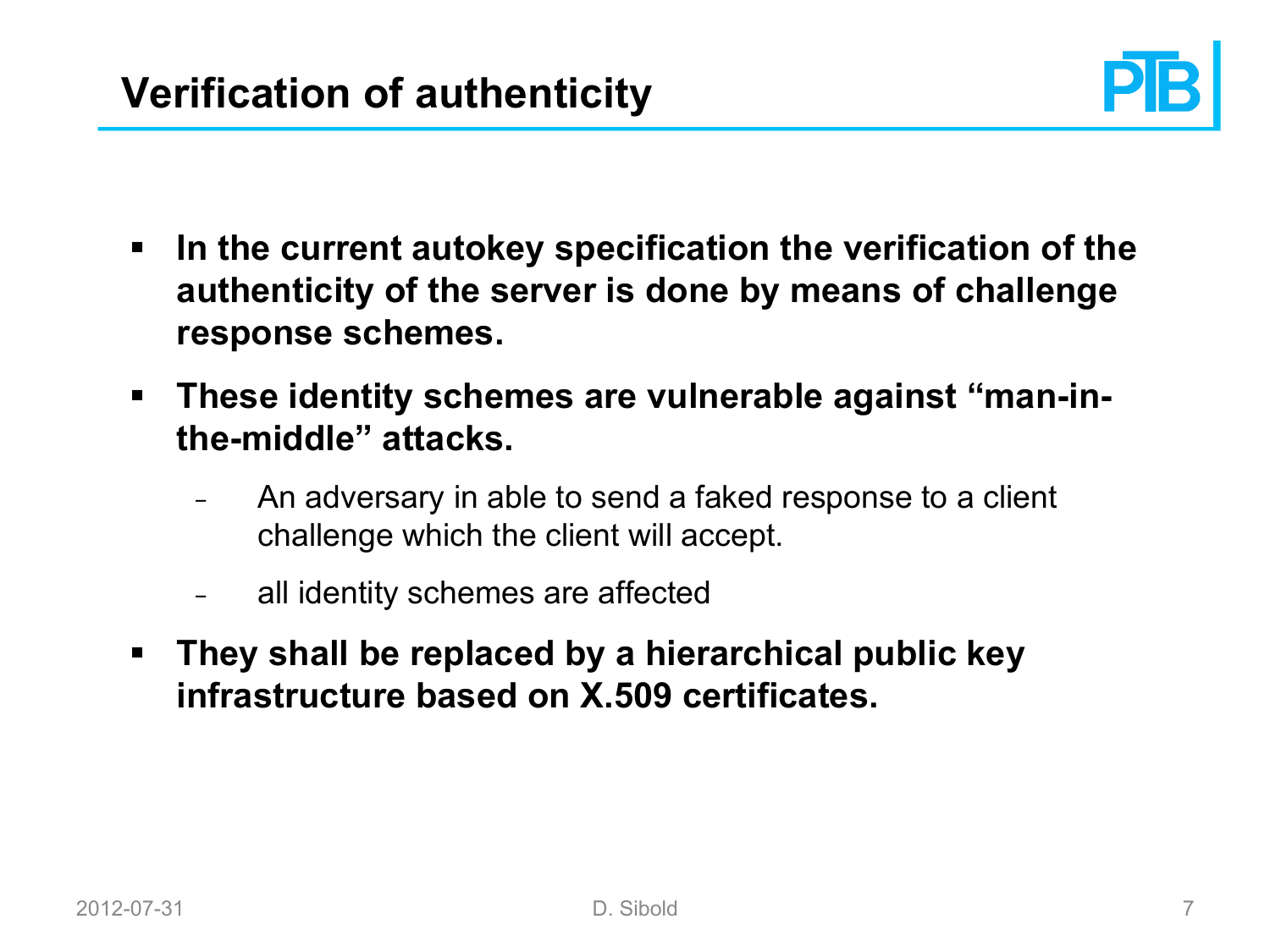

- § **In the current autokey specification the verification of the authenticity of the server is done by means of challenge response schemes.**
- § **These identity schemes are vulnerable against "man-inthe-middle" attacks.** 
	- An adversary in able to send a faked response to a client challenge which the client will accept.
	- all identity schemes are affected
- § **They shall be replaced by a hierarchical public key infrastructure based on X.509 certificates.**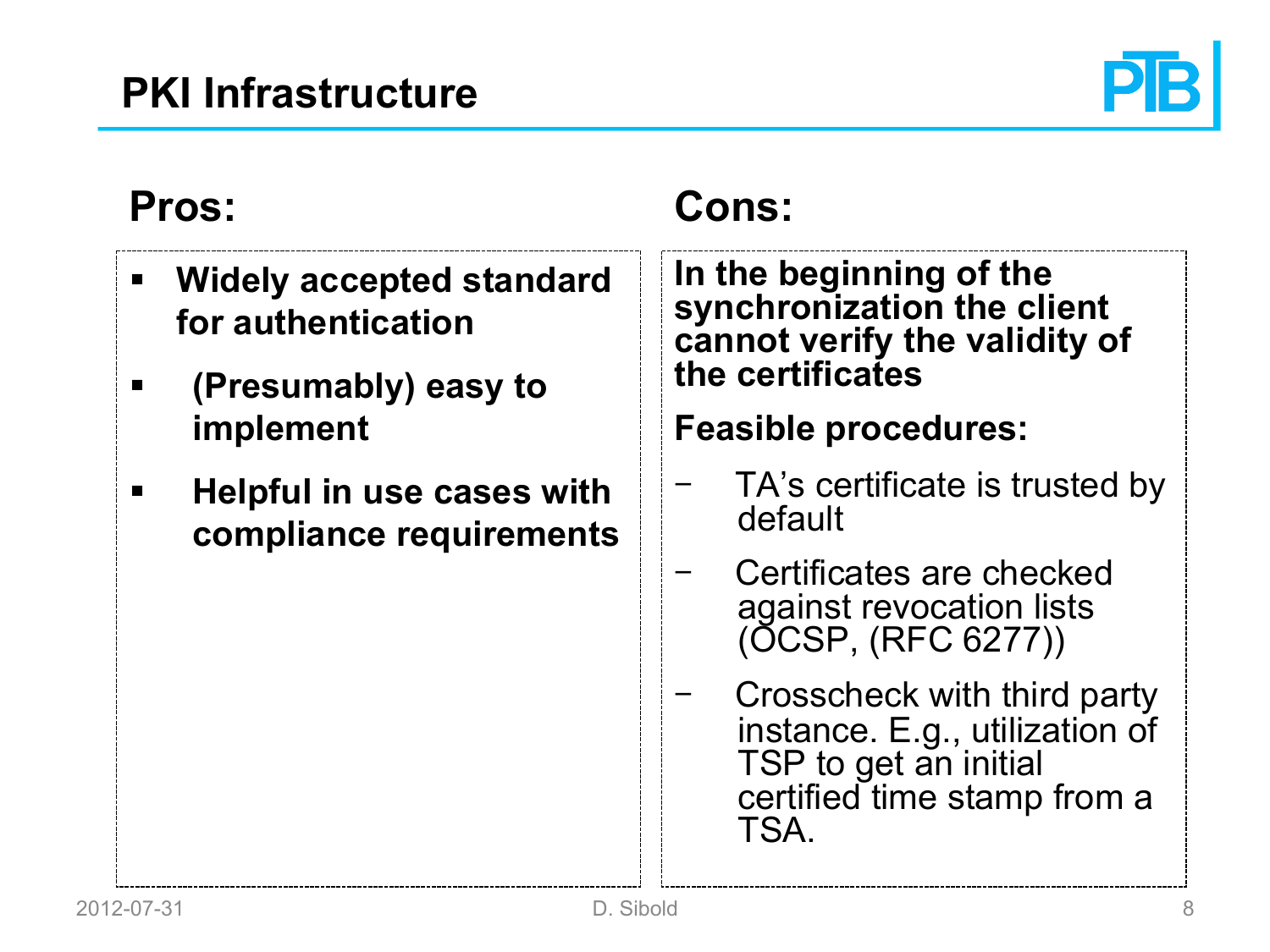

- § **Widely accepted standard for authentication**
- § **(Presumably) easy to implement**
- **EXECT:** Helpful in use cases with **compliance requirements**

# **Pros: Cons:**

**In the beginning of the synchronization the client cannot verify the validity of the certificates** 

# **Feasible procedures:**

- TA's certificate is trusted by default
- Certificates are checked against revocation lists (OCSP, (RFC 6277))
- Crosscheck with third party instance. E.g., utilization of TSP to get an initial certified time stamp from a TSA.